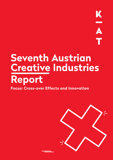# **Seventh Austrian Creative Industries Report**



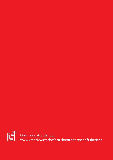

Download & order at: www.kreativwirtschaft.at/kreativwirtschaftsbericht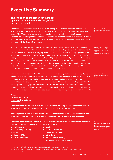# **Executive Summary**

# **The situation of the creative industries: dynamic development and even growth per enterprise unit**

More than 10 percent of all enterprises in Austria belong to the creative industries. In total about 42,200 enterprises have been ascribed to the creative sector in 2014. These enterprises employed almost 152,400 persons or 5 percent of the work force of the overall economy in that year. The creative industries generated sales of 21.6 billion euros and value added at factor costs of about 8.6 billion euros. They were thus responsible for about 3 percent of the sales and almost 4 percent of the value added of the Austrian economy.

Analysis of the development from 2012 to 2014 shows that the creative industries have cemented their role as drivers of growth. The number of enterprises increased by more than 5 percent during this time, compared to an increase of slightly under 2 percent in the Austrian economy in general. Sales also increased (+5.7 percent), while the gross value added of the creative industries (+8.5 percent) is clearly above the average growth from 2012 to 2014 (overall economy: +4.4 percent and +1.3 percent, respectively). Only the number of enterprises in the creative industries (+1.7 percent) increased to a smaller extent (overall economy: +4.2 percent). These results show that, while a small-business structure continues to prevail in the creative industries sector, the enterprises themselves tend to grow, i.e. there are more persons employed per enterprise and sales are higher.

The creative industries in Austria still boast solid economic development. The average equity ratio amounts to almost 33 percent, which is above the minimum benchmark of 30 percent. Businesses in the creative industries that employ a simplified accounting standard on a cash base reported a profit share in total sales of 5.7 percent while that share amounted to 6.4 percent for enterprises with a double-entry bookkeeping system, which trumps the respective shares in the overall economy. The higher profitability compared to the overall economy can mainly be attributed to the service character of the creative industries with few fixed assets but also lower material expenses and merchandise costs.

# **A new definition for the creative industries**

The definition for the creative industries was reviewed to better map the sub-areas of the creative industries, to make them visible and to improve comparability in a European context.

According to the revised definition, the creative industries continue to include: **all commercial enterprises that create, produce, and distribute creative and cultural goods as well as services**5.

The names of the different areas were adapted and certain industries were attributed to other areas. As a result, the creative industries include following ten fields:

- **o architecture o music**
- **o books and publishing o radio and television**
- 
- **o video and film o advertising**
- 
- 
- 
- **o design o software and games**
	-
- **o artistic activities o libraries and museums, botanical and zoological gardens6**

6 This area was not included in statistics, as only a minor part belongs to the private sector and therefore only limited data is available.

More than 10% of all enterprises in Austria belong to the creative industries

Development of the creative industries 2012–2014: +5% employment growth +5.7% sales growth +8.5% gross value added growth

Solid economic development of the creative industries

The creative industries include all commercial enterprises that create, produce, and distribute creative and cultural goods as well as services.

<sup>5</sup> Compare the Fourth Austrian Creative Industries Report, Kreativwirtschaft Austria 2010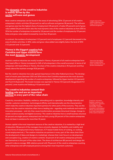#### **The dynamic of the creative industries is mainly driven by the sector software and games**

Most creative enterprises can be found in the areas of advertising (2014: 22 percent of all creative enterprises), artistic activities (20 percent) as well as software and games (18 percent). The software and games area has the highest share of employment (25 percent), of sales (29 percent) and of gross value added (34 percent) and is also the most dynamic area of the creative industries as from 2012 to 2014 the number of enterprises increased by 3.8 percent and the number of employees by 9.9 percent. Sales and gross value added increased by more than 20 percent.

In contrast, the numbers of enterprises (-5.3 percent) and of employees (-2.2 percent) decreased in the area of artistic activities. In 2014, sales and gross value added were slightly below the level of 2012 (-0.2 percent and -0.4 percent).

# **Vienna is the biggest creative hub, Carinthia and Upper Austria have the most dynamic development**

Austria's creative industries are mostly located in Vienna, 41 percent of all creative enterprises have their head office in Vienna (compared to 24% of all enterprises in the overall economy). In terms of all enterprises with head offices in Vienna, the share of the creative industries is 18.3 percent and thus clearly above the Austrian average (10.8 percent).

But the creative industries have also gained importance in the other federal provinces. The development of recent years (between 2012 and 2014) shows that Carinthia experiences the most dynamic development regarding the number of creative enterprises, followed by Upper Austria (+3.3 percent) and Tyrol (+2.8 percent). The lowest increase was reported in Vienna (+0.5 percent), Burgenland (+1.3 percent), Lower Austria and Salzburg (+1.8 percent each).

### **The creative industries cement their leading role and are an important partner in every part of the value chain**

Creativity, innovation, flexibility, resilience, networking and co-operation, knowledge intensity and transfer, customer orientation, technological affinity and internationality are the characteristics which make the creative industries important partners for other parts of the economy. They are the reason why the creative industries often have a leading role – regarding work methods and models or innovation processes – and why they cause transformation processes (structural change, change towards a science society and digital economy). The creative industries have a small-business structure (61 percent are single-person enterprises) and are fairly young (39 percent of the creative enterprises have not been in existence for more than 10 years).

Human capital is the most important resource of the creative industries. It is marked by a high level of education (58 percent of the managers have university degrees), by flexibility and mobility and by new forms of employment (many freelancers, ICT-based mobile forms of working, co-working, crowd employment etc.). The creative industries are partners in every part of the value chain (from the development of ideas and designs to marketing), whereas their main focus is on development and conception (e.g. creation of creative content). 44 percent of all creative enterprises primarily see themselves in this part of the value chain. The share of architecture (80 percent) and design (64 percent) is above average. B2B-relations prevail with 78 percent of the creative enterprises counting other enterprises and self-employed persons among their most important customers.

Largest areas of the creative industries: advertising, artistic activities, software and games

Vienna has the highest share of creative prises, Carinthia the most dynamic development

Creativity, innovation, flexibility, resilience, networking and co-operation, knowledge intensity and transfer, customer orientation, technological affinity and internationality as main characteristics of the creative industries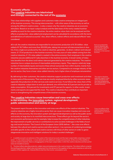#### **Economic effects: The creative industries are intertwined and strongly connected to the rest of the economy**

Their close relationships with suppliers and customers make creative enterprises an integral part of the Austrian economy. This strong interconnection – with other areas of the economy as well as among the different creative areas – is also a reason why the creative industries are an economic stimulator. Based on an input–output analysis and the data basis of the newly created Austrian satellite account for the creative industries, the entire creative value chain can be analysed and the effects on production, value added and employment can be calculated (in accordance with the terms and definitions of national accounts)7 . Also, *direct* effects, *indirect* effects and *induced* effects8 were considered.

All in all, the creative industries are responsible for an economic production of € 37.6 billion, value added of € 18.7 billion and more than 303,000 jobs, taking into account all interconnections in Austria. Every single euro produced by the creative industries, generates, via direct, indirect and induced means, € 1.73 of production in the Austrian economy. For every euro of value added coming from the creative industries, € 1.76 value added is created in the entire economy. Each employee in the creative industries secures additional 0.7 jobs elsewhere in the Austrian economy. A broad variety of industries benefits from the direct and indirect demand generated by the creative industries. The creative industries have a unique structure of intermediate and primary inputs. They require a relatively large number of intermediate inputs and receive these almost exclusively from within Austria, mainly from the creative industries themselves and other service sectors. Compared to an average industry of the service sector, they have a lower value-added intensity, but a higher share of employee remuneration.

By delivering to their customers, the creative industries support production and investment activities in many parts of the economy. Their services are mostly employed directly by other economic areas, especially the production of other services and creative services. If one follows the value chain of the creative industries' output down to end-user demand, one will find that 42.3 percent are for private or state consumption, 20.6 percent for investments and 37.1 percent for exports. In other words, investments and exports are supported the most. The creative industries thus contribute an important share to strengthening the competitiveness of the Austrian economy.

### **The creative industries cause innovation and cross-over effects in the economy, the innovation system, regional development, public administration and society at large**

The present report focuses on the innovation and cross-over effects of the creative industries. The creative industries are a highly innovative sector that can cause innovation impulses and cross-over effects on the economy, the innovation system and regional development as well as the public sector and society at large due to its manifold interconnections. These effects go far beyond the sector's own economic performance and, for example, help increase the competitiveness of other industries, the improvement of public services or contributions to solve societal challenges in the fields of ecology and social inclusion. The Council of the European Union (2015) defines "...the cross-over effects between the cultural and creative sectors and other sectors […] as a process of combining knowledge and skills specific to the cultural and creative sectors with those of other sectors in order to generategenerate innovative and intelligent solutions for today's societal challenges."

Each euro produced by creative industries, generates directly, indirectly and induced € 1.73 of production in the Austrian economy

The creative industries especially support investments and exports and thus help strengthening the competitiveness of the Austrian economy.

Cross-over effects of the creative industries go far **beyond their own econom**ic performance

<sup>7</sup> A satellite account is an extension of the system of the national accounts and the input–output table comprising a certain sector – i.e. the creative industries – in more detail and with additional variables and structures. At the core of the satellite account for creative industries, there is a disaggregation of the input–output table, in which the creative industries and their partial areas are included as sectors.

<sup>8</sup> The direct effects describe production, added value and employment in the creative industries. The indirect effects comprise the resulting production, added value and employment from the demand of the suppliers of the creative industries as well as the suppliers of their suppliers etc. Induced effects arise from the income–consumption cycle.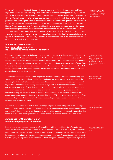There are three main fields to distinguish: "industry cross-overs", "network cross-overs" and "knowledge cross-overs": The term "industry cross-overs" refer to effects regarding productivity and innovation for the economy and society, comprising vertical value-chain-related or horizontal cross-sectoral effects. "Network cross-overs" are effects that develop because of the high density of creative enterprises and/or cultural organisations in a certain location (clusters or cultural quarters). Positive effects range from an increase of the regional economic growth to an increase of regional attractiveness and identity. "Knowledge cross-overs" include new ideas, innovations and processes that are developed in creative enterprises or arts organisations and have effects on the overall economy and society. The developers of these ideas, innovations and processes are not directly rewarded. This is the case when new forms of organisation, work procedures or techniques devised by the creative industries are applied in other sectors of the economy. The cross-over effects analysed in the present report mainly refer to industry and network cross-overs.

#### **Innovation system effects: high innovation as well as R&D activities of the creative industries**

The central role of the creative industries in the innovation system was already presented in detail in the Third Austrian Creative Industries Report. Analyses of the present report confirm this result and the important role of this impact channel for cross-over effects. The innovation capabilities and the way the creative industries innovate are an important precondition to cause cross-over effects. Creativity and innovation are the core competence of creative enterprises whose business models include the implementation of new ideas, products, services and processes. The products and services are often tailored to every single customer.

This orientation reflects the high share (91 percent) of creative enterprises actively innovating. Innovating enterprises introduced new products and/or important improvements in at least one of the following fields during the last three years: product innovation, procedural innovation, process and organisation innovation or marketing innovation. A high level of activity in the creative industries can be determined in all of these fields of innovation, but it is especially high in the field of product innovation: just under three out of four creative enterprises produced new products or services for customers during the last three years. In addition, more than half of the creative enterprises introduced process and marketing innovations during this period. R&D is very important: 41 percent of the creative enterprises with innovation activities introduced systematic processes in terms of their own research and development work.

The main focus of creative innovation is on new design (57 percent of the enterprises) and technology applications (53 percent). Qualified employees, an appropriate enterprise culture, a good business climate and sources for inspiration are of high importance for innovation processes in the creative industries. More than half of the creative enterprises take spontaneous as well as planned steps towards innovation.

# **Awareness for the protection of intellectual property still limited**

Regarding intellectual property, copyright (incl. right of use) is the most important factor for the creative industries. The overall awareness for the protection of intellectual property still seems to be poorly developed among creative enterprises. Even though 74 percent of the creative industries have introduced new products or services during the past three years, only 37 percent report having constituted a copyright. 36 percent of enterprises reported having protected their property with right of use. Cross-overs in the creative industries include "industry cross-overs", "network cross-overs" and "knowledge cross-overs"

The innovation capabilities and the creative industries' way of innovating is an important precondition to cause innovation and cross-over effects.

91% innovation active creative enterprises

Focus of innovations: new design and technology applications

74% produced new products or services for their clients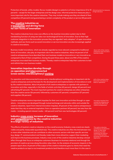Protection of brands, utility models, flavour models (design) or patents is of minor importance (2 to 10 Informal protective measures percent) – except for the larger enterprises and the design area. Informal protective measures play a more important role for the creative industries. They may include making sure they are ahead of their competitors (31 percent) and guaranteeing a certain complexity of the product or service (30 percent).

# **The creative industries as a trendsetter and driving force for new forms of innovation**

The creative industries have cross-over effects on the Austrian innovation system due to their trendsetting function of using new (also non-technological) forms of innovation. Due to their high customer integration in the innovation process they are regarded "early adopters" of open innovation methods, and new forms such as social innovation or service innovation are also increasingly applied in creative innovations.

Business model innovations, which are already regarded as more relevant compared to traditional forms of innovation, also play an important role in the creative industries. About 44 percent of all creative entrepreneurs have described their own business models as innovative or very innovative as compared to that of their competitors. During the past three years, about one fifth of the creative enterprises innovated their business models. Thereby creative enterprises help their customers to test and rethink their own business models.

# **Innovation impulses develop through co-operation and interconnected (cross-sector, interdisciplinary) working**

Co-operation and interconnected (cross-sector, interdisciplinary) working play an important role for creative enterprises and are the basis for the development and implementation of innovations in and by the creative industries. About 44 percent of all creative enterprises co-operate with partners in innovation activities, especially in the fields of artistic activities (62 percent), design (62 percent) and advertising (57 percent). The most important partners for creative enterprises are other enterprises from the creative sector (56 percent), followed by customers (47 percent), competitors (37 percent) and suppliers (36 percent).

Creative enterprises receive important impulses for their own innovation activities through co-operations – innovations are developed through mutual exchange and networks within and outside the creative industries. Apart from internal innovation impulses, 69 percent of the creative entrepreneurs state that they rely on external inspiration: from co-operation partners (42 percent), but also from the media – including special-interest media – (40 percent) and from new technologies (40 percent).

### **Industry cross-overs: increase of innovation and competitiveness by the creative industries in a large variety of industries**

The effects of Austria's creative industries on the overall economy (industry cross-overs) are clearly visible and partly measurable (quantitatively). The creative industries are often the link between two or more other industries and can contribute to other economic sectors with their specific services (e.g. design, IT, communication) and thereby make them more attractive, support their marketing and improve the business processes. Industry cross-overs of the creative industries develop a broad effect through their focus on enterprise customers (business-to-business relations) and through the provision of creative services along the entire value chain. As the analysis of economic impacts in the present report show, 61 percent of the output of the creative industries goes to clients that need the creative products as input or as investment products (and therefore much more than it is the case in

of high relevance

About 44% of the creative enterprises with innovative business models

44% of the creative industries enter innovation-related co-operations

Innovation impulses from outside the enterprise are important for 69% of all creative entrepreneurs

The ceative industries contribute to an attractive design of other fields of economy, to their marketing, the improvement of their business processes and to promote digitisation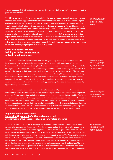the services sector). Retail trade and business services are especially important purchasers of creative products and services.

The different cross-over effects and the benefit for other economic sectors mainly comprise an image increase, innovations, support to stand out from the competition, increase of awareness level, higher quality offers as well as an extension of sales. A central cross-over effect of Austria's creative industries is strengthening the innovation performance of other economic sectors. Almost 40 percent of all creative enterprises support their clients in introducting innovation. These contributions do not remain within the creative sector but mainly (62 percent) go to sectors outside of the creative industries. 29 percent of all creative enterprises primarily use innovations to support other enterprises by creating improved and more customer-related products and services. 17 percent of the creatives primarily aim at starting new processes in other enterprises with their innovation activities. The creative industries deliver contributions to the entire innovation process, but mainly in the early stages of developing ideas (71 percent) and designing the product or service (69 percent).

### **Creative business models helping with the transformation of traditional businesses**

The case study on the co-operation between the design agency "moodley" and the bakery "Auer Brot" shows that the creative industries support their customers with innovation of their entire business models and with repositioning their brands – even in traditional industries. They contribute strategies that aid in handling the structural change: supporting them in their digitisation process, increasing the appeal of their premises as well as selling them as attractive employers. The case study shows how design processes can help improve business models, simplify purchase processes, design more attractive spaces and work places and to deliver a remarkable experience. Design is thereby understood as a holistic concept which entails a comprehensive, long-term process that can take several years. The introduction of new ideas and approaches by the creative industries is especially appreciated by their customers.

The creative industries also create new incentives for suppliers: 87 percent of creative enterprises use new products, processes or technologies that were developed by other enterprises. About 69 percent use new software applications including new internet technologies, especially in the fields of software and games (90 percent) and film (88 percent). In the time period in question, 16 percent of the creative enterprises used products and services that were newly developed or adapted for them, 25 percent bought products and services that were specially adapted for them. The creative industries thus play an important role for the digitisation of the economy. They do not only use technologies in a passive manner, but also provide impulses for technology producers with regard to new developments.

### **Regional cross-over effects: increasing the appeal of cities and regions and strengthening the regions' value and innovation systems**

Austria's creative industries are to a high extent regionally rooted: the most important customers and co-operation partners can frequently be found in the same region. Similarly, they also source many of the necessary inputs from domestic suppliers. Therefore, they also gather their transformative potential from regional contexts. 15 percent of all creative entrepreneurs state that their innovation activities are mainly intended to initiate change in their respective region. The Fifth Austrian Creative Industries Report has analysed the positive effects that can be initiated by the creative industries in a regional context. These include among others: increasing attractiveness of cities and regions, strengthening regional innovation systems and promoting economic growth and tourism. The case study "Werkstätte Wattens" presented in this report clearly shows how local value and innovation systems can be strengthened and how traditional, locally based companies, technology companies,

40% of the creative industries support their clients (primarily from other sectors) in introducing innovation

The creative industries upport the innovation of business models, positioning of brands and coping with structural changes in traditional industries

87% of the creative enterprises use new products, processes and technologies that were developed by other enterprises

15% of the creative enterprises mainly carry out innovation activities to trigger processes of change in their regions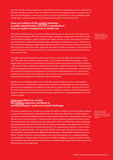start-ups and the creative industries can stimulate each other by including the creative industries in a business and start-up centre. Cross-over effects arise from new company locations, new jobs, the creation of multi-disciplinary, creative eco-systems as well as the prospect of a new, interesting image for the region, inspired by the innovative (entrepreneurial) spirit of the start-up centre.

#### **Cross-over effects of the creative industries in public administration: innovative contributions from new public management to health care**

The creative industries are a cross-section industry and as such not only serve a wide range of economic industries but also offer their services to public authorities. As described in the Sixth Austrian Creative Industries Report, roughly 20 percent of creative services or sales, amounting to 3.4 billion euros, are directly or indirectly enquired by public authorities. According to the survey, 43 percent of Austrian creative enterprises regard public authorities as their most important customers and clients. About 25 percent report that public authorities were able to introduce innovations with their help and another 16 percent of creative enterprises co-operate with partners from public institutions for their innovation activities.

The public administration profits in many ways from the cross-over effects of the creative industries. The public sector obtains creative services – e.g. innovative architectural solutions – via the programme on innovation-oriented public procurement (public procurement of innovative solutions – PPI) and the creative industries are directly involved in the modernisation process in the field of new public management and provide input to improve procedures, better communication and interaction with citizens and enterprises, development of software and mobile applications for e-government solutions etc. New forms of innovation like open innovation or service design, wherein the creative industries take a leading role, are thereby of special importance.

Healthcare is an exemplary public area in which the creative industries can have a strong effect. Creative services can help reduce medical costs and shorten hospitalisation by improving disease prevention and rehabilitation of patients with the help of creative activities. The case study "Anne Eli" in this report shows how the interaction between healthcare institutions and the target group of pregnant migrants can be improved by developing an app that has an appealing design and communication concept.

#### **Cross-over effects on society: the creative industries contribute to solving ecological, social and societal challenges**

The creative industries can contribute to solutions for today's ecological, social and societal challenges due to their transformative potential. Because of its lead role in exploiting non-technological innovations, new business models and services, the education sector, the social and labour market and the non-profit sector can benefit. 21 percent of the creative enterprises supported innovation activities of associations and initiatives in the past three years. About one fifth of the creative enterprises primarily introduce innovations with the aim of solving social problems, the highest share of which can be found in the field of architecture (38 percent). This underlines the importance of the creative industries for social innovation. The case study "Anne Eli" in this report also shows how the co-operation of creative entrepreneurs from different fields generates societal benefits in the field of migrant health. Through the (human-centered) design access, innovative solutions for a complex challenge were developed – the improvement of the access to health knowledge for pregnant migrants and the improvement of the communication with the doctors. Implementing the app can thus also improve the social inclusion of the target group.

25% of the creative enterprises support the innovation activities of public institutions

18% of the creative enterprises primarily introduce innovations with the aim of solving societal problems